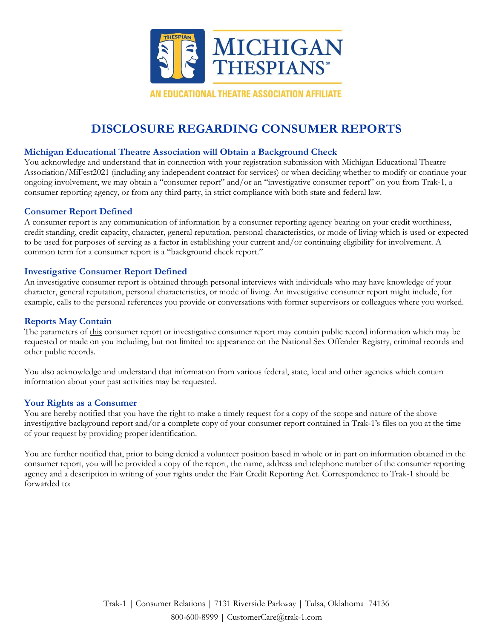

# **DISCLOSURE REGARDING CONSUMER REPORTS**

# **Michigan Educational Theatre Association will Obtain a Background Check**

You acknowledge and understand that in connection with your registration submission with Michigan Educational Theatre Association/MiFest2021 (including any independent contract for services) or when deciding whether to modify or continue your ongoing involvement, we may obtain a "consumer report" and/or an "investigative consumer report" on you from Trak-1, a consumer reporting agency, or from any third party, in strict compliance with both state and federal law.

## **Consumer Report Defined**

A consumer report is any communication of information by a consumer reporting agency bearing on your credit worthiness, credit standing, credit capacity, character, general reputation, personal characteristics, or mode of living which is used or expected to be used for purposes of serving as a factor in establishing your current and/or continuing eligibility for involvement. A common term for a consumer report is a "background check report."

# **Investigative Consumer Report Defined**

An investigative consumer report is obtained through personal interviews with individuals who may have knowledge of your character, general reputation, personal characteristics, or mode of living. An investigative consumer report might include, for example, calls to the personal references you provide or conversations with former supervisors or colleagues where you worked.

# **Reports May Contain**

The parameters of this consumer report or investigative consumer report may contain public record information which may be requested or made on you including, but not limited to: appearance on the National Sex Offender Registry, criminal records and other public records.

You also acknowledge and understand that information from various federal, state, local and other agencies which contain information about your past activities may be requested.

## **Your Rights as a Consumer**

You are hereby notified that you have the right to make a timely request for a copy of the scope and nature of the above investigative background report and/or a complete copy of your consumer report contained in Trak-1's files on you at the time of your request by providing proper identification.

You are further notified that, prior to being denied a volunteer position based in whole or in part on information obtained in the consumer report, you will be provided a copy of the report, the name, address and telephone number of the consumer reporting agency and a description in writing of your rights under the Fair Credit Reporting Act. Correspondence to Trak-1 should be forwarded to: